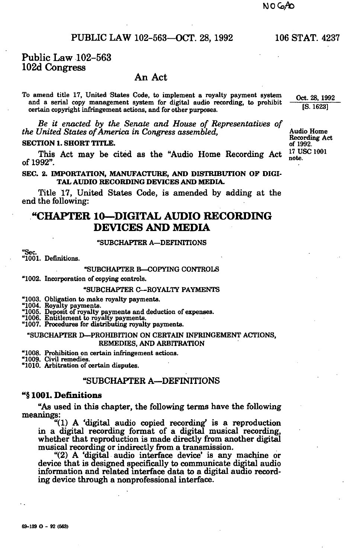**69-139 0-9 2 (563)** 

## PUBLIC LAW 102-563—OCT. 28, 1992 106 STAT. 4237

## Public Law 102-563 102d Congress

### An Act

To amend title 17, United States Code, to implement a royalty payment system Oct. 28, 1992 and a serial copy management system for digital audio recording, to prohibit ' certain copyright infringement actions, and for other purposes.

Be if *enacted by the Senate and House of Representatives of the United States of America in Congress assembled,* Audio Home

**SECTION 1. SHORT TITLE.**<br>This Ast moy be sited as the "Audie Heme Becarding Ast <sup>17</sup> USC 1001 This Act may be cited as the "Audio Home Recording Act  $\frac{11}{100}$  of 1992". of  $1992$ ".

**SEC. 2. IMPORTATION, MANUFACTURE, AND DISTRIBUTION OF DIGI-TAL AUDIO RECORDING DEVICES AND MEDIA.** 

Title 17, United States Code, is amended by adding at the end the following:

# **"CHAPTER 10—DIGITAL AUDIO RECORDING DEVICES AND MEDIA**

#### "SUBCHAPTER A—DEFINITIONS

"Sec.

# "1001. Definitions.

#### "SUBCHAPTER B—COPYING CONTROLS

"1002. Incorporation of copying controls.

#### "SUBCHAPTER C—ROYALTY PAYMENTS

"1003. Obligation to make royalty payments.<br>"1004. Royalty payments.<br>"1005. Deposit of royalty payments and deduction of expenses.<br>"1006. Entitlement to royalty payments.<br>"1007. Procedures for distributing royalty payments

#### "SUBCHAPTER D—PROHIBITION ON CERTAIN INFRINGEMENT ACTIONS, REMEDIES, AND ARBITRATION

"1008. Prohibition on certain infringement actions.

# "1009. Civil remedies. "1010. Arbitration of certain disputes.

#### "SUBCHAPTER A—DEFINITIONS

#### **"§1001. Definitions**

"As used in this chapter, the following terms have the following meanings:

"(1) A 'digital audio copied recording' is a reproduction in a digital recording format of a digital musical recording, whether that reproduction is made directly from another digital musical recording or indirectly from a transmission.

"(2) A 'digital audio interface device\* is any machine or device that is designed specifically to communicate digital audio information and related interface data to a digital audio recording device through a nonprofessional interface.

Recording Act<br>of 1992.

<sup>l</sup> *LVtg°i*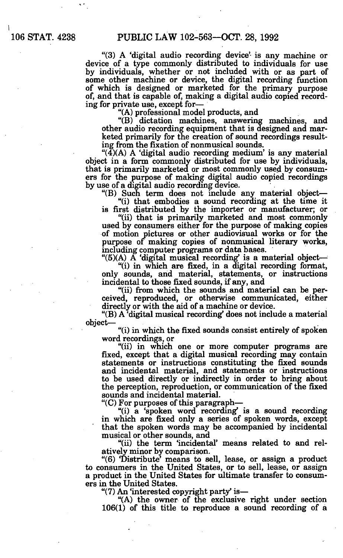"(3) A 'digital audio recording device' is any machine or device of a type commonly distributed to individuals for use by individuals, whether or not included with or as part of some other machine or device, the digital recording function of which is designed or marketed for the primary purpose of, and that is capable of, making a digital audio copied recording for private use, except for—

"(A) professional model products, and

"(B) dictation machines, answering machines, and other audio recording equipment that is designed and marketed primarily for the creation of sound recordings resulting from the fixation of nonmusical sounds.

" $(4)$ (A) A 'digital audio recording medium' is any material object in a form commonly distributed for use by individuals, that is primarily marketed or most commonly used by consumers for the purpose of making digital audio copied recordings by use of a digital audio recording device.

"(B) Such term does not include any material object—

"(i) that embodies a sound recording at the time it is first distributed by the importer or manufacturer; or

"(ii) that is primarily marketed and most commonly used by consumers either for the purpose of making copies of motion pictures or other audiovisual works or for the purpose of making copies of nonmusical literary works, including computer programs or data bases.

"(5)(A) A 'digital musical recording^ is a material object—

"(i) in which are fixed, in a digital recording format, only sounds, and material, statements, or instructions incidental to those fixed sounds, if any, and

"(ii) from which the sounds and material can be perceived, reproduced, or otherwise communicated, either directly or with the aid of a machine or device.

"(B) A 'digital musical recording' does not include a material object—

"(i) in which the fixed sounds consist entirely of spoken word recordings, or

"(ii) in which one or more computer programs are fixed, except that a digital musical recording may contain statements or instructions constituting the fixed sounds and incidental material, and statements or instructions to be used directly or indirectly in order to bring about the perception, reproduction, or communication of the fixed sounds and incidental material.

"(C) For purposes of this paragraph—

"(i) a 'spoken word recording" is a sound recording in which are fixed only a series of spoken words, except that the spoken words may be accompanied by incidental musical or other sounds, and

"(ii) the term 'incidental' means related to and relatively minor by comparison.

"(6) 'Distribute' means to sell, lease, or assign a product to consumers in the United States, or to sell, lease, or assign a product in the United States for ultimate transfer to consumers in the United States.

"(7) An 'interested copyright party\* is—

"(A) the owner of the exclusive right under section 106(1) of this title to reproduce a sound recording of a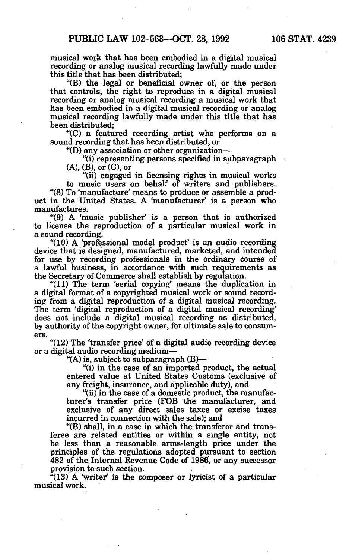musical work that has been embodied in a digital musical recording or analog musical recording lawfully made under this title that has been distributed;

"(B) the legal or beneficial owner of, or the person that controls, the right to reproduce in a digital musical recording or analog musical recording a musical work that has been embodied in a digital musical recording or analog musical recording lawfully made under this title that has been distributed;

"(C) a featured recording artist who performs on a sound recording that has been distributed; or

"(D) any association or other organization—

"(i) representing persons specified in subparagraph  $(A)$ ,  $(B)$ , or  $(C)$ , or

"(ii) engaged in licensing rights in musical works to music users on behalf of writers and publishers.

"(8) To 'manufacture' means to produce or assemble a product in the United States. A 'manufacturer' is a person who manufactures.

" $(9)$  A 'music publisher' is a person that is authorized to license the reproduction of a particular musical work in a sound recording.

"(10) A 'professional model product' is an audio recording device that is designed, manufactured, marketed, and intended for use by recording professionals in the ordinary course of a lawful business, in accordance with such requirements as the Secretary of Commerce shall establish by regulation.

"(11) The term 'serial copying\* means the duplication in a digital format of a copyrighted musical work or sound recording from a digital reproduction of a digital musical recording. The term 'digital reproduction of a digital musical recording' does not include a digital musical recording as distributed, by authority of the copyright owner, for ultimate sale to consumers.

"(12) The 'transfer price' of a digital audio recording device or a digital audio recording medium—

"(A) is, subject to subparagraph  $(B)$ —

"(i) in the case of an imported product, the actual entered value at United States Customs (exclusive of any freight, insurance, and applicable duty), and

"(ii) in the case of a domestic product, the manufacturer's transfer price (FOB the manufacturer, and exclusive of any direct sales taxes or excise taxes incurred in connection with the sale); and

"(B) shall, in a case in which the transferor and transferee are related entities or within a single entity, not be less than a reasonable arms-length price under the principles of the regulations adopted pursuant to section 482 of the Internal Revenue Code of 1986, or any successor provision to such section.

 $(13)$  A 'writer' is the composer or lyricist of a particular musical work.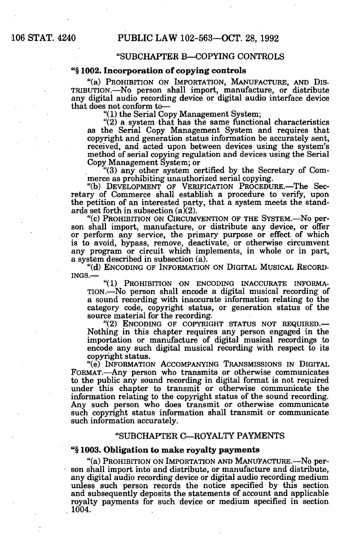# STAT. 4240 PUBLIC LAW 102-563—OCT. 28, 1992

#### "SUBCHAPTER B—COPYING CONTROLS

#### "§ **1002. Incorporation of copying controls**

"(a) PROHIBITION ON IMPORTATION, MANUFACTURE, AND DIS-TRIBUTION.—No person shall import, manufacture, or distribute any digital audio recording device or digital audio interface device that does not conform to—

"(1) the Serial Copy Management System;

"(2) a system that has the same functional characteristics as the Serial Copy Management System and requires that copyright and generation status information be accurately sent, received, and acted upon between devices using the system's method of serial copying regulation and devices using the Serial Copy Management System; or

"(3) any other system certified by the Secretary of Commerce as prohibiting unauthorized serial copying.

"(b) DEVELOPMENT OF VERIFICATION PROCEDURE.—The Secretary of Commerce shall establish a procedure to verify, upon the petition of an interested party, that a system meets the standards set forth in subsection  $(a)(2)$ .

"(c) PROHIBITION ON CIRCUMVENTION OF THE SYSTEM.—No person shall import, manufacture, or distribute any device, or offer or perform any service, the primary purpose or effect of which is to avoid, bypass, remove, deactivate, or otherwise circumvent any program or circuit which implements, in whole or in part, a system described in subsection (a).

"(d) ENCODING OF INFORMATION ON DIGITAL MUSICAL RECORD-INGS.—

"(1) PROHIBITION ON ENCODING INACCURATE INFORMA-TION.—No person shall encode a digital musical recording of a sound recording with inaccurate information relating to the category code, copyright status, or generation status of the source material for the recording.

"(2) ENCODING OF COPYRIGHT STATUS NOT REQUIRED.— Nothing in this chapter requires any person engaged in the importation or manufacture of digital musical recordings to encode any such digital musical recording with respect to its copyright status.

"(e) INFORMATION ACCOMPANYING TRANSMISSIONS IN DIGITAL FORMAT.—Any person who transmits or otherwise communicates to the public any sound recording in digital format is not required under this chapter to transmit or otherwise communicate the information relating to the copyright status of the sound recording. Any such person who does transmit or otherwise communicate such copyright status information shall transmit or communicate such information accurately.

#### "SUBCHAPTER C—ROYALTY PAYMENTS

#### "§ **1003. Obligation to make royalty payments**

"(a) PROHIBITION ON IMPORTATION AND MANUFACTURE.—No person shall import into and distribute, or manufacture and distribute, any digital audio recording device or digital audio recording medium unless such person records the notice specified by this section and subsequently deposits the statements of account and applicable royalty payments for such device or medium specified in section . 1004.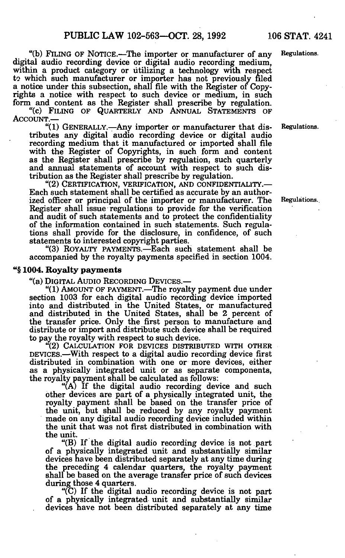"(b) FILING OF NOTICE.—The importer or manufacturer of any Regulations, digital audio recording device or digital audio recording medium, within a product category or utilizing a technology with respect to which such manufacturer or importer has not previously filed a notice under this subsection, shall file with the Register of Copyrights a notice with respect to such device or medium, in such form and content as the Register shall prescribe by regulation.

"(c) FILING OF QUARTERLY AND ANNUAL STATEMENTS OF ACCOUNT.—

"(1) GENERALLY.—Any importer or manufacturer that dis- Regulations, tributes any digital audio recording device or digital audio recording medium that it manufactured or imported shall file with the Register of Copyrights, in such form and content as the Register shall prescribe by regulation, such quarterly and annual statements of account with respect to such distribution as the Register shall prescribe by regulation.

"(2) CERTIFICATION, VERIFICATION, AND CONFIDENTIALITY.— Each such statement shall be certified as accurate by an authorized officer or principal of the importer or manufacturer. The Regulations. Register shall issue regulations to provide for the verification and audit of such statements and to protect the confidentiality of the information contained in such statements. Such regulations shall provide for the disclosure, in confidence, of such statements to interested copyright parties.

"(3) ROYALTY PAYMENTS.—Each such statement shall be accompanied by the royalty payments specified in section 1004.

#### "§ **1004. Royalty payments**

"(a) DIGITAL AUDIO RECORDING DEVICES.—

"(1) AMOUNT OF PAYMENT.—The royalty payment due under section 1003 for each digital audio recording device imported into and distributed in the United States, or manufactured and distributed in the United States, shall be 2 percent of the transfer price. Only the first person to manufacture and distribute or import and distribute such device shall be required to pay the royalty with respect to such device.

(2) CALCULATION FOR DEVICES DISTRIBUTED WITH OTHER DEVICES.—With respect to a digital audio recording device first distributed in combination with one or more devices, either as a physically integrated unit or as separate components, the royalty payment shall be calculated as follows:

"(A) If the digital audio recording device and such other devices are part of a physically integrated unit, the royalty payment shall be based on the transfer price of the unit, but shall be reduced by any royalty payment made on any digital audio recording device included within the unit that was not first distributed in combination with the unit.

"(B) If the digital audio recording device is not part of a physically integrated unit and substantially similar devices have been distributed separately at any time during the preceding 4 calendar quarters, the royalty payment shall be based on the average transfer price of such devices during those 4 quarters.

"(C) If the digital audio recording device is not part of a physically integrated unit and substantially similar devices have not been distributed separately at any time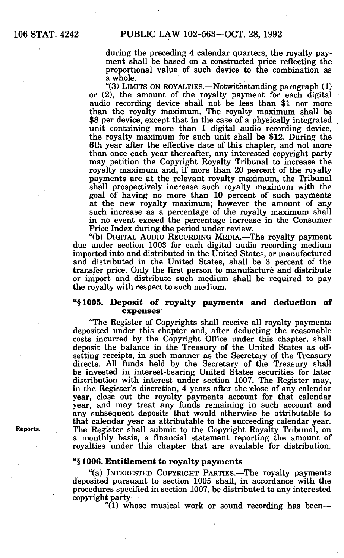### 106 STAT. 4242 PUBLIC LAW 102-563—OCT. 28, 1992

during the preceding 4 calendar quarters, the royalty payment shall be based on a constructed price reflecting the proportional value of such device to the combination as a whole.

"(3) LIMITS ON ROYALTIES.—Notwithstanding paragraph (1) or (2), the amount of the royalty payment for each digital audio recording device shall not be less than \$1 nor more than the royalty maximum. The royalty maximum shall be \$8 per device, except that in the case of a physically integrated unit containing more than 1 digital audio recording device, the royalty maximum for such unit shall be \$12. During the 6th year after the effective date of this chapter, and not more than once each year thereafter, any interested copyright party may petition the Copyright Royalty Tribunal to increase the royalty maximum and, if more than 20 percent of the royalty payments are at the relevant royalty maximum, the Tribunal shall prospectively increase such royalty maximum with the goal of having no more than 10 percent of such payments at the new royalty maximum; however the amount of any such increase as a percentage of the royalty maximum shall in no event exceed the percentage increase in the Consumer Price Index during the period under review.

"(b) DIGITAL AUDIO RECORDING MEDIA.—The royalty payment due under section 1003 for each digital audio recording medium imported into and distributed in the United States, or manufactured and distributed in the United States, shall be 3 percent of the transfer price. Only the first person to manufacture and distribute or import and distribute such medium shall be required to pay the royalty with respect to such medium.

#### "§ **1005. Deposit of royalty payments and deduction of expenses**

'The Register of Copyrights shall receive all royalty payments deposited under this chapter and, after deducting the reasonable costs incurred by the Copyright Office under this chapter, shall deposit the balance in the Treasury of the United States as offsetting receipts, in such manner as the Secretary of the Treasury directs. All funds held by the Secretary of the Treasury shall be invested in interest-bearing United States securities for later distribution with interest under section 1007. The Register may, in the Register's discretion, 4 years after the close of any calendar year, close out the royalty payments account for that calendar year, and may treat any funds remaining in such account and any subsequent deposits that would otherwise be attributable to that calendar year as attributable to the succeeding calendar year. Reports. The Register shall submit to the Copyright Royalty Tribunal, on a monthly basis, a financial statement reporting the amount of royalties under this chapter that are available for distribution.

#### "§ **1006. Entitlement to royalty payments**

"(a) INTERESTED COPYRIGHT PARTIES.—The royalty payments deposited pursuant to section 1005 shall, in accordance with the procedures specified in section 1007, be distributed to any interested copyright party—

"(1) whose musical work or sound recording has been—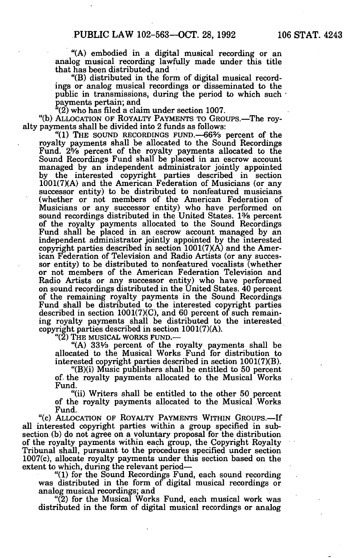"(A) embodied in a digital musical recording or an analog musical recording lawfully made under this title that has been distributed, and

"(B) distributed in the form of digital musical recordings or analog musical recordings or disseminated to the public in transmissions, during the period to which such • payments pertain; and

 $(2)$  who has filed a claim under section 1007.

"(b) ALLOCATION OF ROYALTY PAYMENTS TO GROUPS.—The royalty payments shall be divided into 2 funds as follows:

"(1) THE SOUND RECORDINGS FUND.—66% percent of the royalty payments shall be allocated to the Sound Recordings Fund. 2% percent of the royalty payments allocated to the Sound Recordings Fund shall be placed in an escrow account managed by an independent administrator jointly appointed by the interested copyright parties described in section 1001(7)(A) and the American Federation of Musicians (or any successor entity) to be distributed to nonfeatured musicians (whether or not members of the American Federation of Musicians or any successor entity) who have performed on sound recordings distributed in the United States. 1% percent of the royalty payments allocated to the Sound Recordings Fund shall be placed in an escrow account managed by an independent administrator jointly appointed by the interested copyright parties described in section 1001(7)(A) and the American Federation of Television and Radio Artists (or any successor entity) to be distributed to nonfeatured vocalists (whether or not members of the American Federation Television and Radio Artists or any successor entity) who have performed on sound recordings distributed in the United States. 40 percent of the remaining royalty payments in the Sound Recordings Fund shall be distributed to the interested copyright parties described in section 1001(7)(C), and 60 percent of such remaining royalty payments shall be distributed to the interested copyright parties described in section 1001(7)(A).

"(2) The musical works fund.—

"(A) 33V3 percent of the royalty payments shall be allocated to the Musical Works Fund for distribution to interested copyright parties described in section 1001(7)(B).

"(B)(i) Music publishers shall be entitled to 50 percent of the royalty payments allocated to the Musical Works Fund.

"(ii) Writers shall be entitled to the other 50 percent of the royalty payments allocated to the Musical Works Fund.

"(c) ALLOCATION OF ROYALTY PAYMENTS WITHIN GROUPS.—If all interested copyright parties within a group specified in subsection (b) do not agree on a voluntary proposal for the distribution of the royalty payments within each group, the Copyright Royalty Tribunal shall, pursuant to the procedures specified under section 1007(c), allocate royalty payments under this section based on the extent to which, during the relevant period—

"(1) for the Sound Recordings Fund, each sound recording was distributed in the form of digital musical recordings or analog musical recordings; and

"(2) for the Musical Works Fund, each musical work was distributed in the form of digital musical recordings or analog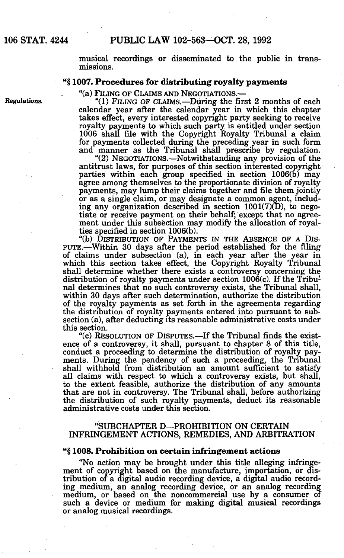musical recordings or disseminated to the public in transmissions.

#### "§ **1007. Procedures for distributing royalty payments**

"(a) FILING OF CLAIMS AND NEGOTIATIONS.—

Regulations. "(1) FILING OF CLAIMS.—During the first 2 months of each calendar year after the calendar year in which this chapter takes effect, every interested copyright party seeking to receive royalty payments to which such party is entitled under section 1006 shall file with the Copyright Royalty Tribunal a claim for payments collected during the preceding year in such form and manner as the Tribunal shall prescribe by regulation.

"(2) NEGOTIATIONS.—Notwithstanding any provision of the antitrust laws, for purposes of this section interested copyright parties within each group specified in section 1006(b) may agree among themselves to the proportionate division of royalty payments, may lump their claims together and file them jointly or as a single claim, or may designate a common agent, including any organization described in section 1001(7)(D), to negotiate or receive payment on their behalf; except that no agreement under this subsection may modify the allocation of royalties specified in section 1006(b).

"(b) DISTRIBUTION OF PAYMENTS IN THE ABSENCE OF A DIS-PUTE.—Within 30 days after the period established for the filing of claims under subsection (a), in each year after the year in which this section takes effect, the Copyright Royalty Tribunal shall determine whether there exists a controversy concerning the distribution of royalty payments under section 1006(c). If the Tribunal determines that no such controversy exists, the Tribunal shall, within 30 days after such determination, authorize the distribution of the royalty payments as set forth in the agreements regarding the distribution of royalty payments entered into pursuant to subsection (a), after deducting its reasonable administrative costs under this section.

"(c) RESOLUTION OF DISPUTES.—If the Tribunal finds the existence of a controversy, it shall, pursuant to chapter 8 of this title, conduct a proceeding to determine the distribution of royalty payments. During the pendency of such a proceeding, the Tribunal shall withhold from distribution an amount sufficient to satisfy all claims with respect to which a controversy exists, but shall, to the extent feasible, authorize the distribution of any amounts that are not in controversy. The Tribunal shall, before authorizing the distribution of such royalty payments, deduct its reasonable administrative costs under this section.

#### "SUBCHAPTER D—PROHIBITION ON CERTAIN INFRINGEMENT ACTIONS, REMEDIES, AND ARBITRATION

#### "§ **1008. Prohibition on certain infringement actions**

"No action may be brought under this title alleging infringement of copyright based on the manufacture, importation, or distribution of a digital audio recording device, a digital audio recording medium, an analog recording device, or an analog recording medium, or based on the noncommercial use by a consumer of such a device or medium for making digital musical recordings or analog musical recordings.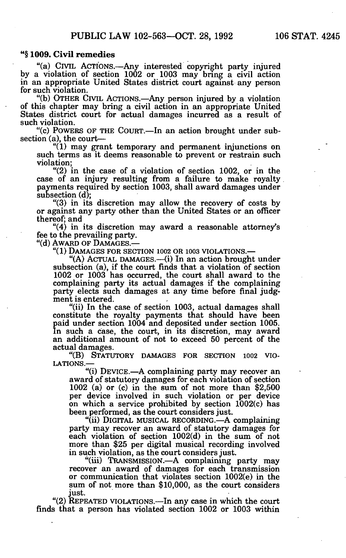#### "§ **1009. Civil remedies**

"(a) CIVIL ACTIONS.—Any interested copyright party injured by a violation of section 1002 or 1003 may bring a civil action in an appropriate United States district court against any person for such violation.

"(b) OTHER CIVIL ACTIONS.—Any person injured by a violation of this chapter may bring a civil action in an appropriate United States district court for actual damages incurred as a result of such violation.

"(c) POWERS OF THE COURT.—In an action brought under subsection (a), the court—

"(1) may grant temporary and permanent injunctions on such terms as it deems reasonable to prevent or restrain such violation;

"(2) in the case of a violation of section 1002, or in the case of an injury resulting from a failure to make royalty payments required by section 1003, shall award damages under subsection (d);

"(3) in its discretion may allow the recovery of costs by or against any party other than the United States or an officer thereof; and

"(4) in its discretion may award a reasonable attorney's fee to the prevailing party.

"(d) AWARD OF DAMAGES.—

"(1) DAMAGES FOR SECTION 1002 OR 1003 VIOLATIONS.—

"(A) ACTUAL DAMAGES.—(i) In an action brought under subsection (a), if the court finds that a violation of section 1002 or 1003 has occurred, the court shall award to the complaining party its actual damages if the complaining party elects such damages at any time before final judgment is entered.

"(ii) In the case of section 1003, actual damages shall constitute the royalty payments that should have been paid under section 1004 and deposited under section 1005. In such a case, the court, in its discretion, may award an additional amount of not to exceed 50 percent of the actual damages.

"(B) STATUTORY DAMAGES FOR SECTION 1002 VIO-LATIONS.—

"(i) DEVICE.—A complaining party may recover an award of statutory damages for each violation of section 1002 (a) or (c) in the sum of not more than \$2,500 per device involved in such violation or per device on which a service prohibited by section 1002(c) has been performed, as the court considers just.

"(ii) DIGITAL MUSICAL RECORDING.—A complaining party may recover an award of statutory damages for each violation of section 1002(d) in the sum of not more than \$25 per digital musical recording involved in such violation, as the court considers just.

"(iii) TRANSMISSION.—A complaining party may recover an award of damages for each transmission or communication that violates section 1002(e) in the sum of not more than \$10,000, as the court considers just.

"(2) REPEATED VIOLATIONS.—In any case in which the court finds that a person has violated section 1002 or 1003 within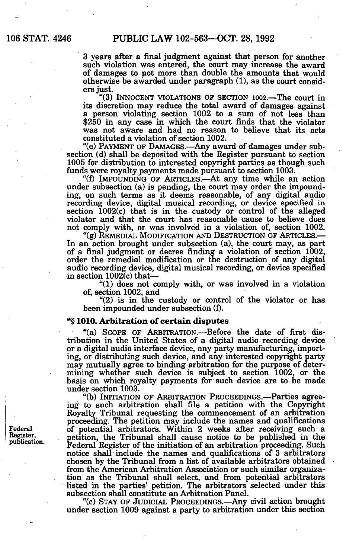3 years after a final judgment against that person for another such violation was entered, the court may increase the award of damages to not more than double the amounts that would otherwise be awarded under paragraph (1), as the court considers just.

"(3) INNOCENT VIOLATIONS OF SECTION 1002.—The court in its discretion may reduce the total award of damages against a person violating section 1002 to a sum of not less than \$250 in any case in which the court finds that the violator was not aware and had no reason to believe that its acts constituted a violation of section 1002.

"(e) PAYMENT OF DAMAGES.—Any award of damages under subsection (d) shall be deposited with the Register pursuant to section 1005 for distribution to interested copyright parties as though such funds were royalty payments made pursuant to section 1003.

"(f) IMPOUNDING OF ARTICLES.—At any time while an action under subsection (a) is pending, the court may order the impounding, on such terms as it deems reasonable, of any digital audio recording device, digital musical recording, or device specified in section 1002(c) that is in the custody or control of the alleged violator and that the court has reasonable cause to believe does not comply with, or was involved in a violation of, section 1002.

"(g) REMEDIAL MODIFICATION AND DESTRUCTION OF ARTICLES.— In an action brought under subsection (a), the court may, as part of a final judgment or decree finding a violation of section 1002, order the remedial modification or the destruction of any digital audio recording device, digital musical recording, or device specified in section  $1002(c)$  that-

'll) does not comply with, or was involved in a violation of, section 1002, and

"(2) is in the custody or control of the violator or has been impounded under subsection (f).

### "§ 1010. Arbitration of certain disputes

"(a) SCOPE OF ARBITRATION.—Before the date of first distribution in the United States of a digital audio recording device or a digital audio interface device, any party manufacturing, importing, or distributing such device, and any interested copyright party may mutually agree to binding arbitration for the purpose of determining whether such device is subject to section 1002, or the basis on which royalty payments for such device are to be made under section 1003.

"(b) INITIATION OF ARBITRATION PROCEEDINGS.—Parties agreeing to such arbitration shall file a petition with the Copyright Royalty Tribunal requesting the commencement of an arbitration proceeding. The petition may include the names and qualifications of potential arbitrators. Within 2 weeks after receiving such a petition, the Tribunal shall cause notice to be published in the Federal Register of the initiation of an arbitration proceeding. Such notice shall include the names and qualifications of 3 arbitrators chosen by the Tribunal from a list of available arbitrators obtained from the American Arbitration Association or such similar organization as the Tribunal shall select, and from potential arbitrators listed in the parties' petition. The arbitrators selected under this subsection shall constitute an Arbitration Panel.

"(c) STAY OF JUDICIAL PROCEEDINGS.—Any civil action brought under section 1009 against a party to arbitration under this section

Federal Register, publication.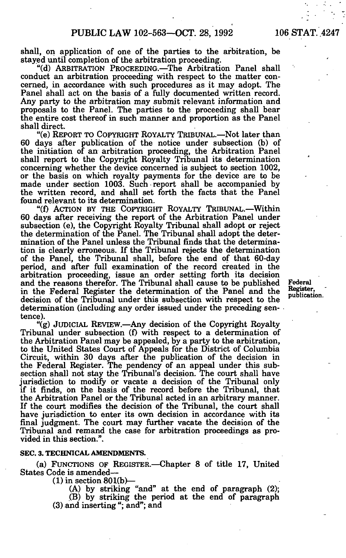shall, on application of one of the parties to the arbitration, be stayed until completion of the arbitration proceeding.

"(d) ARBITRATION PROCEEDING.—The Arbitration Panel shall conduct an arbitration proceeding with respect to the matter concerned, in accordance with such procedures as it may adopt. The Panel shall act on the basis of a fully documented written record. Any party to the arbitration may submit relevant information and proposals to the Panel. The parties to the proceeding shall bear the entire cost thereof in such manner and proportion as the Panel shall direct.

"(e) REPORT TO COPYRIGHT ROYALTY TRIBUNAL.—Not later than 60 days after publication of the notice under subsection (b) of the initiation of an arbitration proceeding, the Arbitration Panel shall report to the Copyright Royalty Tribunal its determination concerning whether the device concerned is subject to section 1002, or the basis on which royalty payments for the device are to be made under section 1003. Such report shall be accompanied by the written record, and shall set forth the facts that the Panel found relevant to its determination.

"(f) ACTION BY THE COPYRIGHT ROYALTY TRIBUNAL.—Within 60 days after receiving the report of the Arbitration Panel under subsection (e), the Copyright Royalty Tribunal shall adopt or reject the determination of the Panel. The Tribunal shall adopt the determination of the Panel unless the Tribunal finds that the determination is clearly erroneous. If the Tribunal rejects the determination of the Panel, the Tribunal shall, before the end of that 60-day period, and after full examination of the record created in the arbitration proceeding, issue an order setting forth its decision and the reasons therefor. The Tribunal shall cause to be published Federal in the Federal Register the determination of the Panel and the Register,<br>in the Federal Register the determination of the Panel and the publication. decision of the Tribunal under this subsection with respect to the determination (including any order issued under the preceding sentence).

"(g) JUDICIAL REVIEW.—Any decision of the Copyright Royalty Tribunal under subsection (f) with respect to a determination of the Arbitration Panel may be appealed, by a party to the arbitration, to the United States Court of Appeals for the District of Columbia Circuit, within 30 days after the publication of the decision in the Federal Register. The pendency of an appeal under this subsection shall not stay the Tribunal's decision. The court shall have jurisdiction to modify or vacate a decision of the Tribunal only if it finds, on the basis of the record before the Tribunal, that the Arbitration Panel or the Tribunal acted in an arbitrary manner. If the court modifies the decision of the Tribunal, the court shall have jurisdiction to enter its own decision in accordance with its final judgment. The court may further vacate the decision of the Tribunal and remand the case for arbitration proceedings as provided in this section.".

#### **SEC. 3. TECHNICAL AMENDMENTS.**

(a) FUNCTIONS OF REGISTER.—Chapter 8 of title 17, United States Code is amended—

 $(1)$  in section 801(b)—

(A) by striking "and" at the end of paragraph (2); .(B) by striking the period at the end of paragraph (3) and inserting "; and"; and